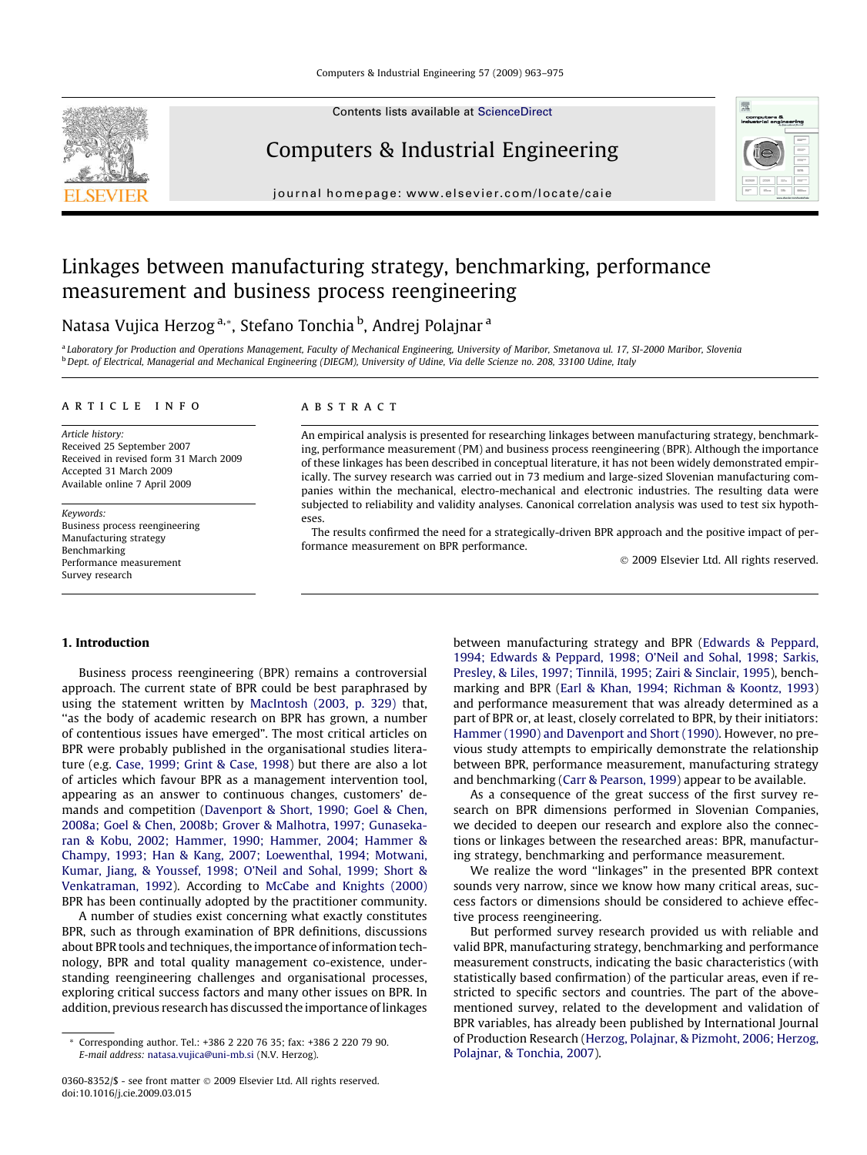

Contents lists available at [ScienceDirect](http://www.sciencedirect.com/science/journal/03608352)

### Computers & Industrial Engineering

journal homepage: [www.elsevier.com/locate/caie](http://www.elsevier.com/locate/caie)



## Linkages between manufacturing strategy, benchmarking, performance measurement and business process reengineering

### Natasa Vujica Herzog<sup>a,</sup>\*, Stefano Tonchia <sup>b</sup>, Andrej Polajnar <sup>a</sup>

<sup>a</sup> Laboratory for Production and Operations Management, Faculty of Mechanical Engineering, University of Maribor, Smetanova ul. 17, SI-2000 Maribor, Slovenia <sup>b</sup> Dept. of Electrical, Managerial and Mechanical Engineering (DIEGM), University of Udine, Via delle Scienze no. 208, 33100 Udine, Italy

#### article info

Article history: Received 25 September 2007 Received in revised form 31 March 2009 Accepted 31 March 2009 Available online 7 April 2009

Keywords: Business process reengineering Manufacturing strategy Benchmarking Performance measurement Survey research

#### **ABSTRACT**

An empirical analysis is presented for researching linkages between manufacturing strategy, benchmarking, performance measurement (PM) and business process reengineering (BPR). Although the importance of these linkages has been described in conceptual literature, it has not been widely demonstrated empirically. The survey research was carried out in 73 medium and large-sized Slovenian manufacturing companies within the mechanical, electro-mechanical and electronic industries. The resulting data were subjected to reliability and validity analyses. Canonical correlation analysis was used to test six hypotheses.

The results confirmed the need for a strategically-driven BPR approach and the positive impact of performance measurement on BPR performance.

- 2009 Elsevier Ltd. All rights reserved.

#### 1. Introduction

Business process reengineering (BPR) remains a controversial approach. The current state of BPR could be best paraphrased by using the statement written by [MacIntosh \(2003, p. 329\)](#page--1-0) that, ''as the body of academic research on BPR has grown, a number of contentious issues have emerged". The most critical articles on BPR were probably published in the organisational studies literature (e.g. [Case, 1999; Grint & Case, 1998\)](#page--1-0) but there are also a lot of articles which favour BPR as a management intervention tool, appearing as an answer to continuous changes, customers' demands and competition ([Davenport & Short, 1990; Goel & Chen,](#page--1-0) [2008a; Goel & Chen, 2008b; Grover & Malhotra, 1997; Gunaseka](#page--1-0)[ran & Kobu, 2002; Hammer, 1990; Hammer, 2004; Hammer &](#page--1-0) [Champy, 1993; Han & Kang, 2007; Loewenthal, 1994; Motwani,](#page--1-0) [Kumar, Jiang, & Youssef, 1998; O'Neil and Sohal, 1999; Short &](#page--1-0) [Venkatraman, 1992\)](#page--1-0). According to [McCabe and Knights \(2000\)](#page--1-0) BPR has been continually adopted by the practitioner community.

A number of studies exist concerning what exactly constitutes BPR, such as through examination of BPR definitions, discussions about BPR tools and techniques, the importance of information technology, BPR and total quality management co-existence, understanding reengineering challenges and organisational processes, exploring critical success factors and many other issues on BPR. In addition, previous research has discussed the importance of linkages between manufacturing strategy and BPR [\(Edwards & Peppard,](#page--1-0) [1994; Edwards & Peppard, 1998; O'Neil and Sohal, 1998; Sarkis,](#page--1-0) [Presley, & Liles, 1997; Tinnilä, 1995; Zairi & Sinclair, 1995](#page--1-0)), benchmarking and BPR [\(Earl & Khan, 1994; Richman & Koontz, 1993\)](#page--1-0) and performance measurement that was already determined as a part of BPR or, at least, closely correlated to BPR, by their initiators: [Hammer \(1990\) and Davenport and Short \(1990\).](#page--1-0) However, no previous study attempts to empirically demonstrate the relationship between BPR, performance measurement, manufacturing strategy and benchmarking ([Carr & Pearson, 1999\)](#page--1-0) appear to be available.

As a consequence of the great success of the first survey research on BPR dimensions performed in Slovenian Companies, we decided to deepen our research and explore also the connections or linkages between the researched areas: BPR, manufacturing strategy, benchmarking and performance measurement.

We realize the word ''linkages" in the presented BPR context sounds very narrow, since we know how many critical areas, success factors or dimensions should be considered to achieve effective process reengineering.

But performed survey research provided us with reliable and valid BPR, manufacturing strategy, benchmarking and performance measurement constructs, indicating the basic characteristics (with statistically based confirmation) of the particular areas, even if restricted to specific sectors and countries. The part of the abovementioned survey, related to the development and validation of BPR variables, has already been published by International Journal of Production Research [\(Herzog, Polajnar, & Pizmoht, 2006; Herzog,](#page--1-0) [Polajnar, & Tonchia, 2007](#page--1-0)).

Corresponding author. Tel.: +386 2 220 76 35; fax: +386 2 220 79 90. E-mail address: [natasa.vujica@uni-mb.si](mailto:natasa.vujica@uni-mb.si) (N.V. Herzog).

<sup>0360-8352/\$ -</sup> see front matter © 2009 Elsevier Ltd. All rights reserved. doi:10.1016/j.cie.2009.03.015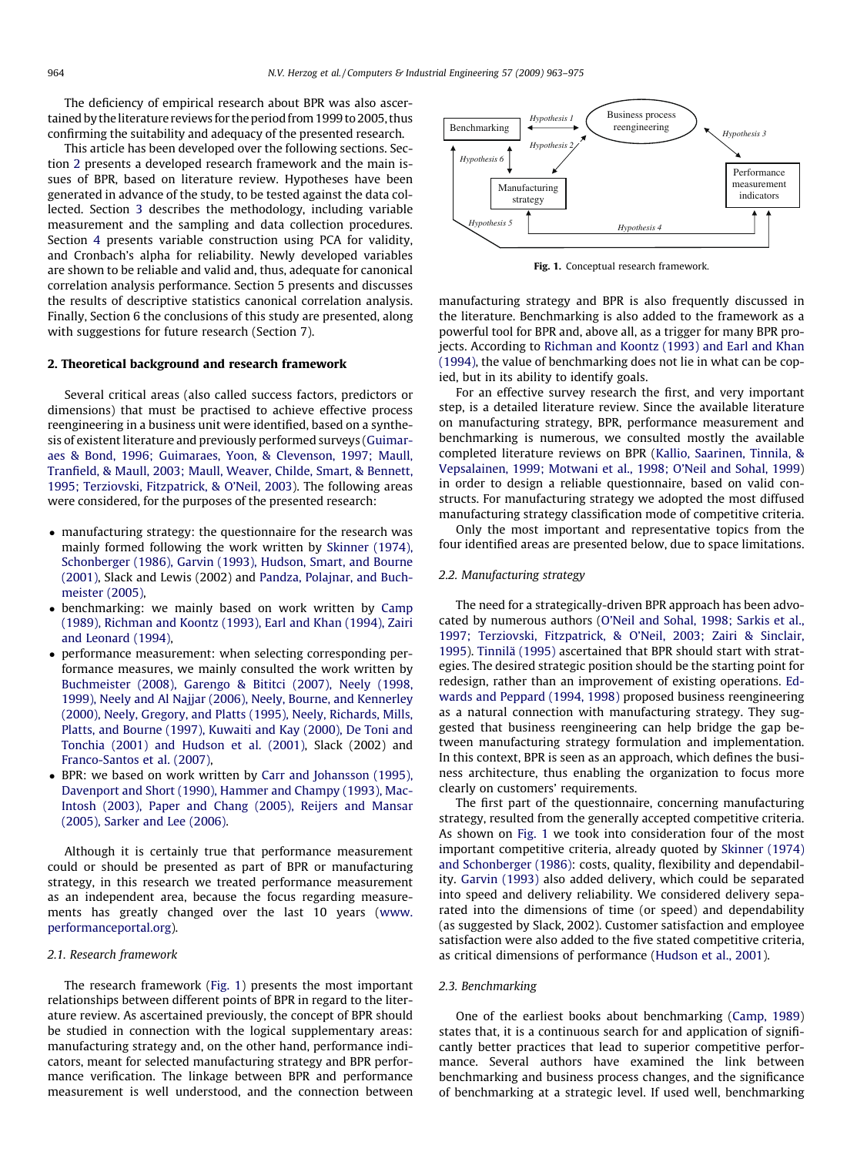The deficiency of empirical research about BPR was also ascertained by the literature reviews for the period from 1999 to 2005, thus confirming the suitability and adequacy of the presented research.

This article has been developed over the following sections. Section 2 presents a developed research framework and the main issues of BPR, based on literature review. Hypotheses have been generated in advance of the study, to be tested against the data collected. Section [3](#page--1-0) describes the methodology, including variable measurement and the sampling and data collection procedures. Section [4](#page--1-0) presents variable construction using PCA for validity, and Cronbach's alpha for reliability. Newly developed variables are shown to be reliable and valid and, thus, adequate for canonical correlation analysis performance. Section 5 presents and discusses the results of descriptive statistics canonical correlation analysis. Finally, Section 6 the conclusions of this study are presented, along with suggestions for future research (Section 7).

#### 2. Theoretical background and research framework

Several critical areas (also called success factors, predictors or dimensions) that must be practised to achieve effective process reengineering in a business unit were identified, based on a synthesis of existent literature and previously performed surveys [\(Guimar](#page--1-0)[aes & Bond, 1996; Guimaraes, Yoon, & Clevenson, 1997; Maull,](#page--1-0) [Tranfield, & Maull, 2003; Maull, Weaver, Childe, Smart, & Bennett,](#page--1-0) [1995; Terziovski, Fitzpatrick, & O'Neil, 2003\)](#page--1-0). The following areas were considered, for the purposes of the presented research:

- manufacturing strategy: the questionnaire for the research was mainly formed following the work written by [Skinner \(1974\),](#page--1-0) [Schonberger \(1986\), Garvin \(1993\), Hudson, Smart, and Bourne](#page--1-0) [\(2001\)](#page--1-0), Slack and Lewis (2002) and [Pandza, Polajnar, and Buch](#page--1-0)[meister \(2005\),](#page--1-0)
- benchmarking: we mainly based on work written by [Camp](#page--1-0) [\(1989\), Richman and Koontz \(1993\), Earl and Khan \(1994\), Zairi](#page--1-0) [and Leonard \(1994\)](#page--1-0),
- $\bullet$  performance measurement: when selecting corresponding performance measures, we mainly consulted the work written by [Buchmeister \(2008\), Garengo & Bititci \(2007\), Neely \(1998,](#page--1-0) [1999\), Neely and Al Najjar \(2006\), Neely, Bourne, and Kennerley](#page--1-0) [\(2000\), Neely, Gregory, and Platts \(1995\), Neely, Richards, Mills,](#page--1-0) [Platts, and Bourne \(1997\), Kuwaiti and Kay \(2000\), De Toni and](#page--1-0) [Tonchia \(2001\) and Hudson et al. \(2001\)](#page--1-0), Slack (2002) and [Franco-Santos et al. \(2007\),](#page--1-0)
- BPR: we based on work written by [Carr and Johansson \(1995\),](#page--1-0) [Davenport and Short \(1990\), Hammer and Champy \(1993\), Mac-](#page--1-0)[Intosh \(2003\), Paper and Chang \(2005\), Reijers and Mansar](#page--1-0) [\(2005\), Sarker and Lee \(2006\)](#page--1-0).

Although it is certainly true that performance measurement could or should be presented as part of BPR or manufacturing strategy, in this research we treated performance measurement as an independent area, because the focus regarding measurements has greatly changed over the last 10 years ([www.](http://www.performanceportal.org) [performanceportal.org\)](http://www.performanceportal.org).

#### 2.1. Research framework

The research framework (Fig. 1) presents the most important relationships between different points of BPR in regard to the literature review. As ascertained previously, the concept of BPR should be studied in connection with the logical supplementary areas: manufacturing strategy and, on the other hand, performance indicators, meant for selected manufacturing strategy and BPR performance verification. The linkage between BPR and performance measurement is well understood, and the connection between



Fig. 1. Conceptual research framework.

manufacturing strategy and BPR is also frequently discussed in the literature. Benchmarking is also added to the framework as a powerful tool for BPR and, above all, as a trigger for many BPR projects. According to [Richman and Koontz \(1993\) and Earl and Khan](#page--1-0) [\(1994\),](#page--1-0) the value of benchmarking does not lie in what can be copied, but in its ability to identify goals.

For an effective survey research the first, and very important step, is a detailed literature review. Since the available literature on manufacturing strategy, BPR, performance measurement and benchmarking is numerous, we consulted mostly the available completed literature reviews on BPR ([Kallio, Saarinen, Tinnila, &](#page--1-0) [Vepsalainen, 1999; Motwani et al., 1998; O'Neil and Sohal, 1999\)](#page--1-0) in order to design a reliable questionnaire, based on valid constructs. For manufacturing strategy we adopted the most diffused manufacturing strategy classification mode of competitive criteria.

Only the most important and representative topics from the four identified areas are presented below, due to space limitations.

#### 2.2. Manufacturing strategy

The need for a strategically-driven BPR approach has been advocated by numerous authors [\(O'Neil and Sohal, 1998; Sarkis et al.,](#page--1-0) [1997; Terziovski, Fitzpatrick, & O'Neil, 2003; Zairi & Sinclair,](#page--1-0) [1995\)](#page--1-0). [Tinnilä \(1995\)](#page--1-0) ascertained that BPR should start with strategies. The desired strategic position should be the starting point for redesign, rather than an improvement of existing operations. [Ed](#page--1-0)[wards and Peppard \(1994, 1998\)](#page--1-0) proposed business reengineering as a natural connection with manufacturing strategy. They suggested that business reengineering can help bridge the gap between manufacturing strategy formulation and implementation. In this context, BPR is seen as an approach, which defines the business architecture, thus enabling the organization to focus more clearly on customers' requirements.

The first part of the questionnaire, concerning manufacturing strategy, resulted from the generally accepted competitive criteria. As shown on Fig. 1 we took into consideration four of the most important competitive criteria, already quoted by [Skinner \(1974\)](#page--1-0) [and Schonberger \(1986\):](#page--1-0) costs, quality, flexibility and dependability. [Garvin \(1993\)](#page--1-0) also added delivery, which could be separated into speed and delivery reliability. We considered delivery separated into the dimensions of time (or speed) and dependability (as suggested by Slack, 2002). Customer satisfaction and employee satisfaction were also added to the five stated competitive criteria, as critical dimensions of performance [\(Hudson et al., 2001](#page--1-0)).

#### 2.3. Benchmarking

One of the earliest books about benchmarking [\(Camp, 1989\)](#page--1-0) states that, it is a continuous search for and application of significantly better practices that lead to superior competitive performance. Several authors have examined the link between benchmarking and business process changes, and the significance of benchmarking at a strategic level. If used well, benchmarking